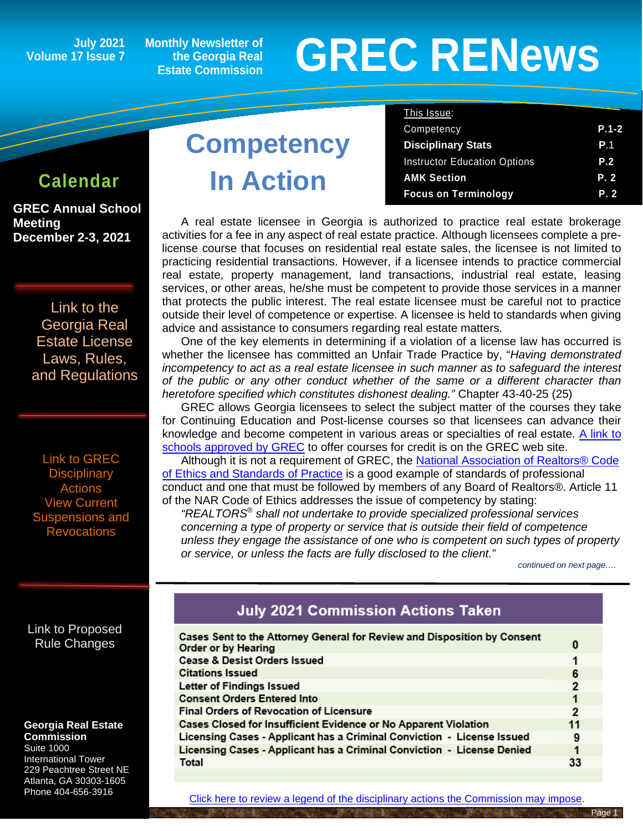**July 2021 Volume 17 Issue 7**

**Monthly Newsletter of the Georgia Real Estate Commission**

# **GREC RENewsGREC RENews**

**GREC Annual School Meeting December 2-3, 2021** 

> [Link to the](https://grec.state.ga.us/information-research/license-law/)  [Georgia Real](https://grec.state.ga.us/information-research/license-law/)  [Estate License](https://grec.state.ga.us/information-research/license-law/)  [Laws, Rules,](https://grec.state.ga.us/information-research/license-law/)  [and Regulations](https://grec.state.ga.us/information-research/license-law/)

[Link to GREC](https://grec.state.ga.us/information-research/disciplinary-actions/real-estate/)  **Disciplinary Actions** [View Current](https://grec.state.ga.us/information-research/disciplinary-actions/real-estate/)  [Suspensions and](https://grec.state.ga.us/information-research/disciplinary-actions/real-estate/)  **[Revocations](https://grec.state.ga.us/information-research/disciplinary-actions/real-estate/)** 

# **Competency**

|                 |                   | This Issue:                         |            |
|-----------------|-------------------|-------------------------------------|------------|
|                 |                   | Competency                          | $P.1-2$    |
|                 | <b>Competency</b> | <b>Disciplinary Stats</b>           | <b>P.1</b> |
|                 |                   | <b>Instructor Education Options</b> | <b>P.2</b> |
| <b>Calendar</b> | <b>In Action</b>  | <b>AMK Section</b>                  | P. 2       |
|                 |                   | <b>Focus on Terminology</b>         | P. 2       |

A real estate licensee in Georgia is authorized to practice real estate brokerage activities for a fee in any aspect of real estate practice. Although licensees complete a prelicense course that focuses on residential real estate sales, the licensee is not limited to practicing residential transactions. However, if a licensee intends to practice commercial real estate, property management, land transactions, industrial real estate, leasing services, or other areas, he/she must be competent to provide those services in a manner that protects the public interest. The real estate licensee must be careful not to practice outside their level of competence or expertise. A licensee is held to standards when giving advice and assistance to consumers regarding real estate matters.

One of the key elements in determining if a violation of a license law has occurred is whether the licensee has committed an Unfair Trade Practice by, "*Having demonstrated incompetency to act as a real estate licensee in such manner as to safeguard the interest of the public or any other conduct whether of the same or a different character than heretofore specified which constitutes dishonest dealing."* Chapter 43-40-25 (25)

GREC allows Georgia licensees to select the subject matter of the courses they take for Continuing Education and Post-license courses so that licensees can advance their knowledge and become competent in various areas or specialties of real estate. [A link to](https://grec.state.ga.us/wp-content/uploads/pdfs/RE%20Approved%20Schools%20List.pdf)  [schools approved by GREC](https://grec.state.ga.us/wp-content/uploads/pdfs/RE%20Approved%20Schools%20List.pdf) to offer courses for credit is on the GREC web site.

Although it is not a requirement of GREC, the [National Association of Realtors® Code](https://www.nar.realtor/about-nar/governing-documents/code-of-ethics/2021-code-of-ethics-standards-of-practice)  [of Ethics and Standards of Practice](https://www.nar.realtor/about-nar/governing-documents/code-of-ethics/2021-code-of-ethics-standards-of-practice) is a good example of standards of professional conduct and one that must be followed by members of any Board of Realtors®. Article 11 of the NAR Code of Ethics addresses the issue of competency by stating:

*"REALTORS® shall not undertake to provide specialized professional services concerning a type of property or service that is outside their field of competence unless they engage the assistance of one who is competent on such types of property or service, or unless the facts are fully disclosed to the client." continued on next page….*

#### [Link to Proposed](https://grec.state.ga.us/proposed-rule-change/)  [Rule Changes](https://grec.state.ga.us/information-research/legislation/real-estate/)

#### **Georgia Real Estate Commission**

Suite 1000 International Tower 229 Peachtree Street NE Atlanta, GA 30303-1605 Phone 404-656-3916

#### **July 2021 Commission Actions Taken**

| Cases Sent to the Attorney General for Review and Disposition by Consent<br>Order or by Hearing |    |  |
|-------------------------------------------------------------------------------------------------|----|--|
| Cease & Desist Orders Issued                                                                    |    |  |
| <b>Citations Issued</b>                                                                         |    |  |
| Letter of Findings Issued                                                                       |    |  |
| <b>Consent Orders Entered Into</b>                                                              |    |  |
| <b>Final Orders of Revocation of Licensure</b>                                                  |    |  |
| Cases Closed for Insufficient Evidence or No Apparent Violation                                 |    |  |
| Licensing Cases - Applicant has a Criminal Conviction - License Issued                          |    |  |
| Licensing Cases - Applicant has a Criminal Conviction - License Denied                          |    |  |
| Total                                                                                           | 33 |  |
|                                                                                                 |    |  |